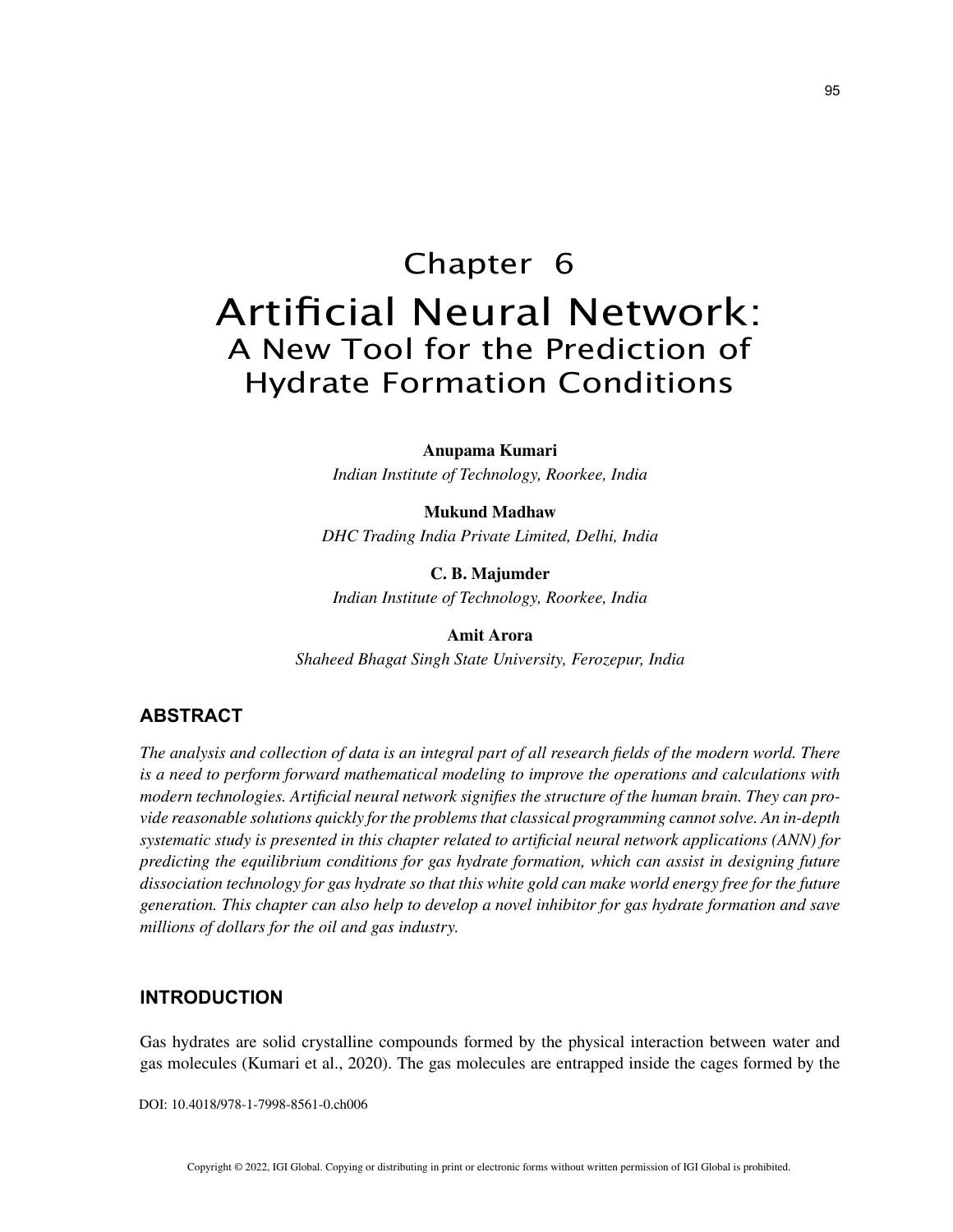# Chapter 6 Artificial Neural Network: A New Tool for the Prediction of Hydrate Formation Conditions

**Anupama Kumari** *Indian Institute of Technology, Roorkee, India*

**Mukund Madhaw** *DHC Trading India Private Limited, Delhi, India*

**C. B. Majumder** *Indian Institute of Technology, Roorkee, India*

**Amit Arora** *Shaheed Bhagat Singh State University, Ferozepur, India*

## **ABSTRACT**

*The analysis and collection of data is an integral part of all research fields of the modern world. There is a need to perform forward mathematical modeling to improve the operations and calculations with modern technologies. Artificial neural network signifies the structure of the human brain. They can provide reasonable solutions quickly for the problems that classical programming cannot solve. An in-depth systematic study is presented in this chapter related to artificial neural network applications (ANN) for predicting the equilibrium conditions for gas hydrate formation, which can assist in designing future dissociation technology for gas hydrate so that this white gold can make world energy free for the future generation. This chapter can also help to develop a novel inhibitor for gas hydrate formation and save millions of dollars for the oil and gas industry.*

## **INTRODUCTION**

Gas hydrates are solid crystalline compounds formed by the physical interaction between water and gas molecules (Kumari et al., 2020). The gas molecules are entrapped inside the cages formed by the

DOI: 10.4018/978-1-7998-8561-0.ch006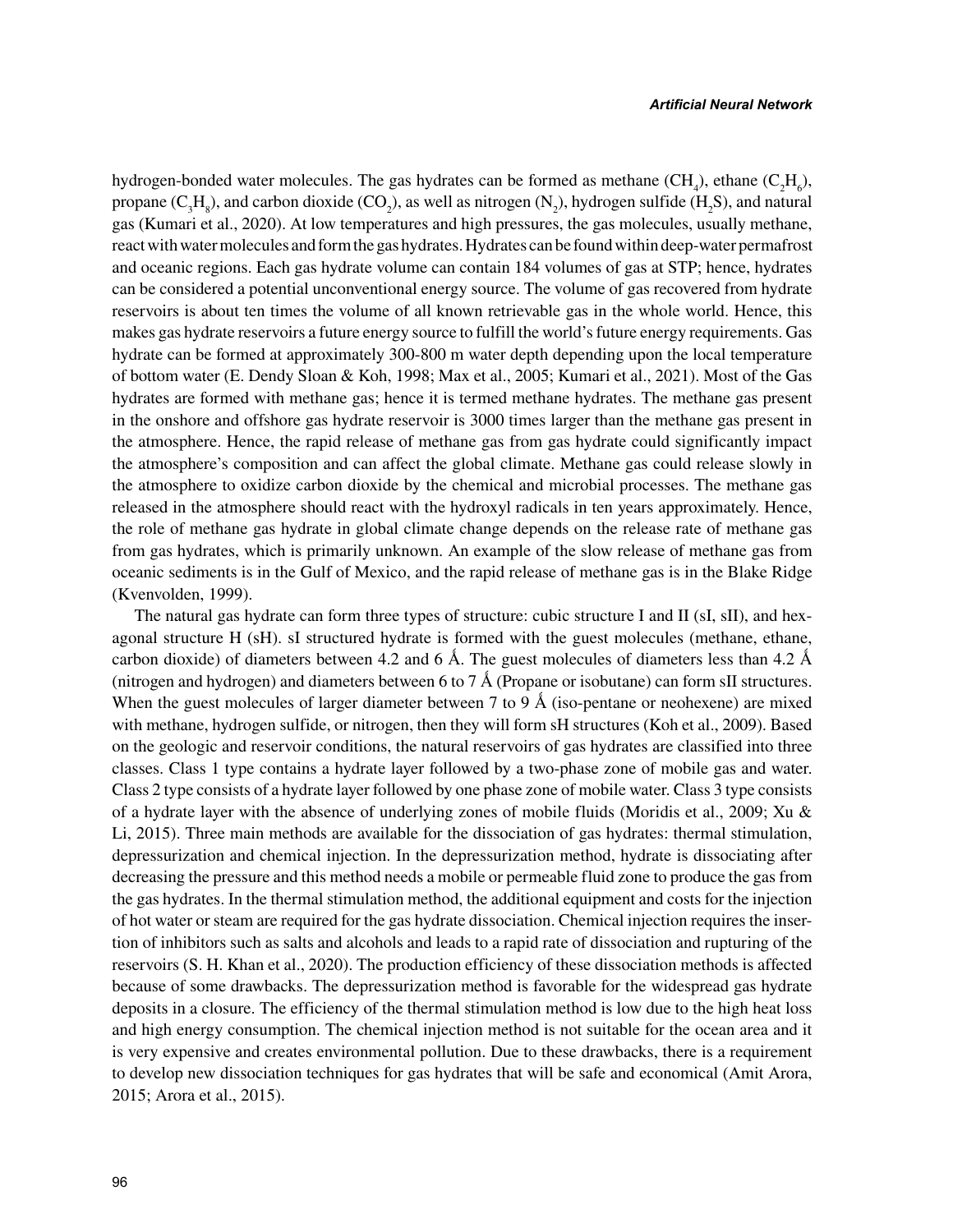hydrogen-bonded water molecules. The gas hydrates can be formed as methane  $(CH_4)$ , ethane  $(C_2H_6)$ , propane (C<sub>3</sub>H<sub>8</sub>), and carbon dioxide (CO<sub>2</sub>), as well as nitrogen (N<sub>2</sub>), hydrogen sulfide (H<sub>2</sub>S), and natural gas (Kumari et al., 2020). At low temperatures and high pressures, the gas molecules, usually methane, react with water molecules and form the gas hydrates. Hydrates can be found within deep-water permafrost and oceanic regions. Each gas hydrate volume can contain 184 volumes of gas at STP; hence, hydrates can be considered a potential unconventional energy source. The volume of gas recovered from hydrate reservoirs is about ten times the volume of all known retrievable gas in the whole world. Hence, this makes gas hydrate reservoirs a future energy source to fulfill the world's future energy requirements. Gas hydrate can be formed at approximately 300-800 m water depth depending upon the local temperature of bottom water (E. Dendy Sloan & Koh, 1998; Max et al., 2005; Kumari et al., 2021). Most of the Gas hydrates are formed with methane gas; hence it is termed methane hydrates. The methane gas present in the onshore and offshore gas hydrate reservoir is 3000 times larger than the methane gas present in the atmosphere. Hence, the rapid release of methane gas from gas hydrate could significantly impact the atmosphere's composition and can affect the global climate. Methane gas could release slowly in the atmosphere to oxidize carbon dioxide by the chemical and microbial processes. The methane gas released in the atmosphere should react with the hydroxyl radicals in ten years approximately. Hence, the role of methane gas hydrate in global climate change depends on the release rate of methane gas from gas hydrates, which is primarily unknown. An example of the slow release of methane gas from oceanic sediments is in the Gulf of Mexico, and the rapid release of methane gas is in the Blake Ridge (Kvenvolden, 1999).

The natural gas hydrate can form three types of structure: cubic structure I and II (sI, sII), and hexagonal structure H (sH). sI structured hydrate is formed with the guest molecules (methane, ethane, carbon dioxide) of diameters between 4.2 and 6 Å. The guest molecules of diameters less than 4.2 Å (nitrogen and hydrogen) and diameters between 6 to 7 Å (Propane or isobutane) can form sII structures. When the guest molecules of larger diameter between 7 to 9  $\AA$  (iso-pentane or neohexene) are mixed with methane, hydrogen sulfide, or nitrogen, then they will form sH structures (Koh et al., 2009). Based on the geologic and reservoir conditions, the natural reservoirs of gas hydrates are classified into three classes. Class 1 type contains a hydrate layer followed by a two-phase zone of mobile gas and water. Class 2 type consists of a hydrate layer followed by one phase zone of mobile water. Class 3 type consists of a hydrate layer with the absence of underlying zones of mobile fluids (Moridis et al., 2009; Xu & Li, 2015). Three main methods are available for the dissociation of gas hydrates: thermal stimulation, depressurization and chemical injection. In the depressurization method, hydrate is dissociating after decreasing the pressure and this method needs a mobile or permeable fluid zone to produce the gas from the gas hydrates. In the thermal stimulation method, the additional equipment and costs for the injection of hot water or steam are required for the gas hydrate dissociation. Chemical injection requires the insertion of inhibitors such as salts and alcohols and leads to a rapid rate of dissociation and rupturing of the reservoirs (S. H. Khan et al., 2020). The production efficiency of these dissociation methods is affected because of some drawbacks. The depressurization method is favorable for the widespread gas hydrate deposits in a closure. The efficiency of the thermal stimulation method is low due to the high heat loss and high energy consumption. The chemical injection method is not suitable for the ocean area and it is very expensive and creates environmental pollution. Due to these drawbacks, there is a requirement to develop new dissociation techniques for gas hydrates that will be safe and economical (Amit Arora, 2015; Arora et al., 2015).